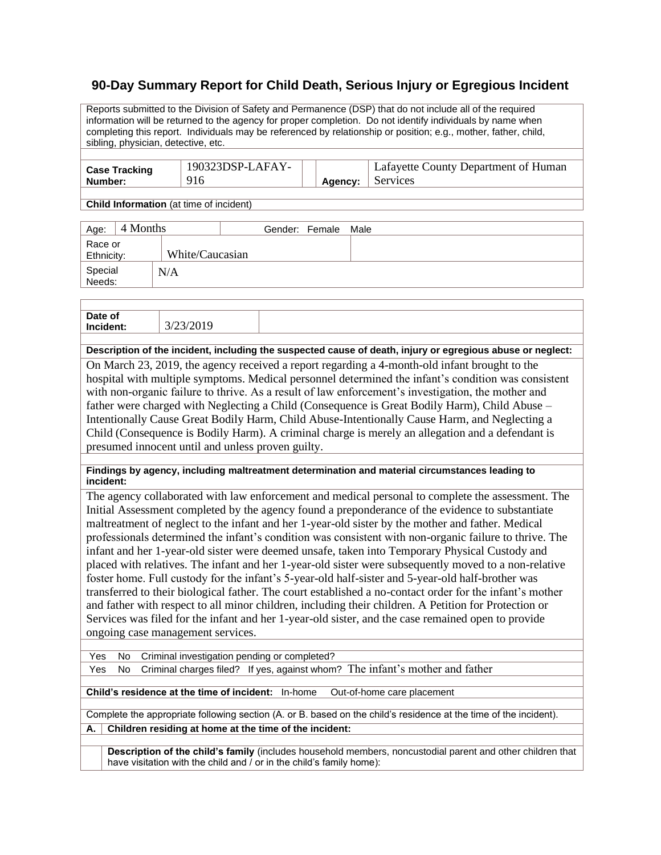## **90-Day Summary Report for Child Death, Serious Injury or Egregious Incident**

Reports submitted to the Division of Safety and Permanence (DSP) that do not include all of the required information will be returned to the agency for proper completion. Do not identify individuals by name when completing this report. Individuals may be referenced by relationship or position; e.g., mother, father, child, sibling, physician, detective, etc.

| <b>Case Tracking</b> | 190323DSP-LAFAY- |         | Lafayette County Department of Human |
|----------------------|------------------|---------|--------------------------------------|
| Number:              |                  | Agency: | Services                             |
|                      |                  |         |                                      |

**Child Information** (at time of incident)

| Age:                  | 4 Months |                 | Gender: Female Male |  |
|-----------------------|----------|-----------------|---------------------|--|
| Race or<br>Ethnicity: |          | White/Caucasian |                     |  |
| Special<br>Needs:     |          | N/A             |                     |  |

| Date of<br>Inc |  |
|----------------|--|
|                |  |

**Description of the incident, including the suspected cause of death, injury or egregious abuse or neglect:** On March 23, 2019, the agency received a report regarding a 4-month-old infant brought to the

hospital with multiple symptoms. Medical personnel determined the infant's condition was consistent with non-organic failure to thrive. As a result of law enforcement's investigation, the mother and father were charged with Neglecting a Child (Consequence is Great Bodily Harm), Child Abuse – Intentionally Cause Great Bodily Harm, Child Abuse-Intentionally Cause Harm, and Neglecting a Child (Consequence is Bodily Harm). A criminal charge is merely an allegation and a defendant is presumed innocent until and unless proven guilty.

**Findings by agency, including maltreatment determination and material circumstances leading to incident:**

The agency collaborated with law enforcement and medical personal to complete the assessment. The Initial Assessment completed by the agency found a preponderance of the evidence to substantiate maltreatment of neglect to the infant and her 1-year-old sister by the mother and father. Medical professionals determined the infant's condition was consistent with non-organic failure to thrive. The infant and her 1-year-old sister were deemed unsafe, taken into Temporary Physical Custody and placed with relatives. The infant and her 1-year-old sister were subsequently moved to a non-relative foster home. Full custody for the infant's 5-year-old half-sister and 5-year-old half-brother was transferred to their biological father. The court established a no-contact order for the infant's mother and father with respect to all minor children, including their children. A Petition for Protection or Services was filed for the infant and her 1-year-old sister, and the case remained open to provide ongoing case management services.

Yes No Criminal investigation pending or completed?

Yes No Criminal charges filed? If yes, against whom? The infant's mother and father

**Child's residence at the time of incident:** In-home Out-of-home care placement

Complete the appropriate following section (A. or B. based on the child's residence at the time of the incident). **A. Children residing at home at the time of the incident:**

**Description of the child's family** (includes household members, noncustodial parent and other children that have visitation with the child and / or in the child's family home):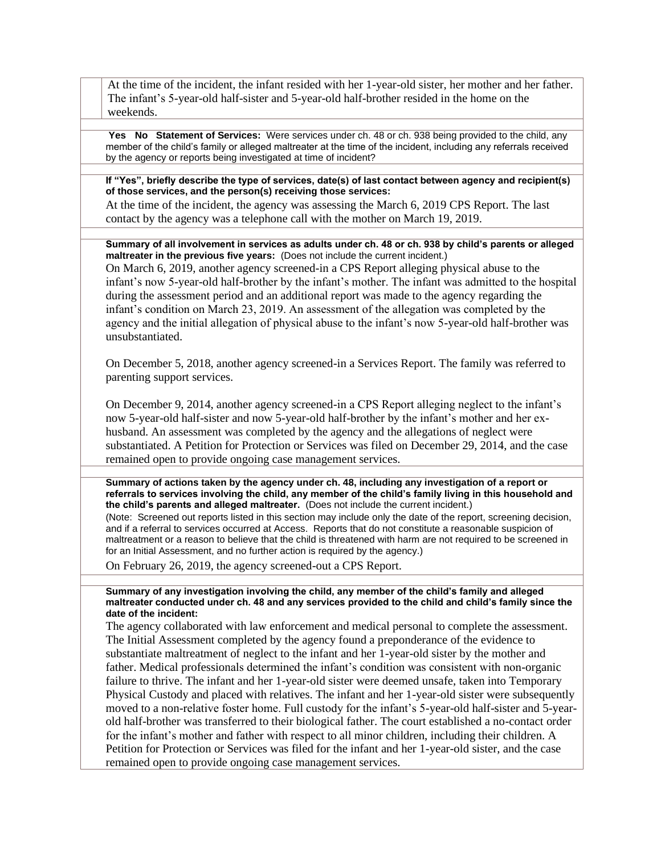At the time of the incident, the infant resided with her 1-year-old sister, her mother and her father. The infant's 5-year-old half-sister and 5-year-old half-brother resided in the home on the weekends.

**Yes No Statement of Services:** Were services under ch. 48 or ch. 938 being provided to the child, any member of the child's family or alleged maltreater at the time of the incident, including any referrals received by the agency or reports being investigated at time of incident?

**If "Yes", briefly describe the type of services, date(s) of last contact between agency and recipient(s) of those services, and the person(s) receiving those services:**

At the time of the incident, the agency was assessing the March 6, 2019 CPS Report. The last contact by the agency was a telephone call with the mother on March 19, 2019.

**Summary of all involvement in services as adults under ch. 48 or ch. 938 by child's parents or alleged maltreater in the previous five years:** (Does not include the current incident.)

On March 6, 2019, another agency screened-in a CPS Report alleging physical abuse to the infant's now 5-year-old half-brother by the infant's mother. The infant was admitted to the hospital during the assessment period and an additional report was made to the agency regarding the infant's condition on March 23, 2019. An assessment of the allegation was completed by the agency and the initial allegation of physical abuse to the infant's now 5-year-old half-brother was unsubstantiated.

On December 5, 2018, another agency screened-in a Services Report. The family was referred to parenting support services.

On December 9, 2014, another agency screened-in a CPS Report alleging neglect to the infant's now 5-year-old half-sister and now 5-year-old half-brother by the infant's mother and her exhusband. An assessment was completed by the agency and the allegations of neglect were substantiated. A Petition for Protection or Services was filed on December 29, 2014, and the case remained open to provide ongoing case management services.

**Summary of actions taken by the agency under ch. 48, including any investigation of a report or referrals to services involving the child, any member of the child's family living in this household and the child's parents and alleged maltreater.** (Does not include the current incident.)

(Note: Screened out reports listed in this section may include only the date of the report, screening decision, and if a referral to services occurred at Access. Reports that do not constitute a reasonable suspicion of maltreatment or a reason to believe that the child is threatened with harm are not required to be screened in for an Initial Assessment, and no further action is required by the agency.)

On February 26, 2019, the agency screened-out a CPS Report.

**Summary of any investigation involving the child, any member of the child's family and alleged maltreater conducted under ch. 48 and any services provided to the child and child's family since the date of the incident:**

The agency collaborated with law enforcement and medical personal to complete the assessment. The Initial Assessment completed by the agency found a preponderance of the evidence to substantiate maltreatment of neglect to the infant and her 1-year-old sister by the mother and father. Medical professionals determined the infant's condition was consistent with non-organic failure to thrive. The infant and her 1-year-old sister were deemed unsafe, taken into Temporary Physical Custody and placed with relatives. The infant and her 1-year-old sister were subsequently moved to a non-relative foster home. Full custody for the infant's 5-year-old half-sister and 5-yearold half-brother was transferred to their biological father. The court established a no-contact order for the infant's mother and father with respect to all minor children, including their children. A Petition for Protection or Services was filed for the infant and her 1-year-old sister, and the case remained open to provide ongoing case management services.